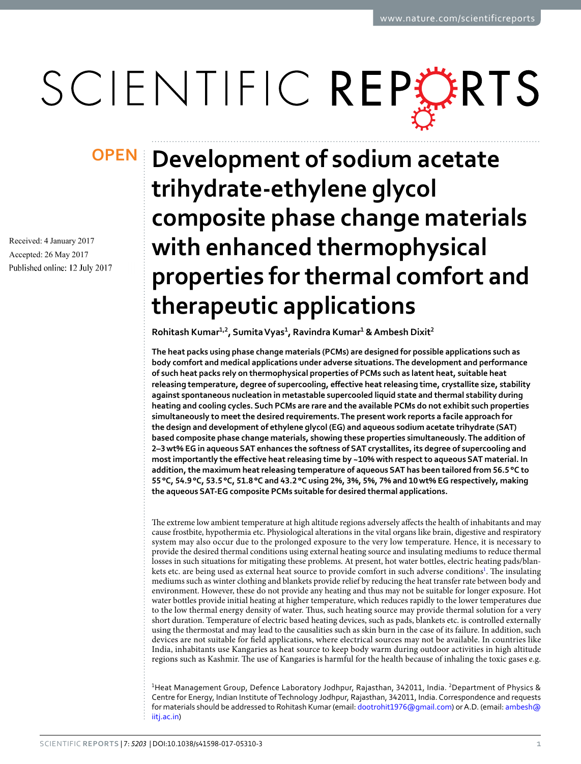# SCIENTIFIC REPERTS

Received: 4 January 2017 Accepted: 26 May 2017 Published online: 12 July 2017

## **Development of sodium acetate opeNtrihydrate-ethylene glycol composite phase change materials with enhanced thermophysical properties for thermal comfort and therapeutic applications**

**Rohitash Kumar1,2, Sumita Vyas<sup>1</sup> , Ravindra Kumar<sup>1</sup> & Ambesh Dixit<sup>2</sup>**

**the heat packs using phase change materials (pCMs) are designed for possible applications such as body comfort and medical applications under adverse situations. the development and performance of such heat packs rely on thermophysical properties of PCMs such as latent heat, suitable heat releasing temperature, degree of supercooling, effective heat releasing time, crystallite size, stability against spontaneous nucleation in metastable supercooled liquid state and thermal stability during heating and cooling cycles. Such PCMs are rare and the available PCMs do not exhibit such properties simultaneously to meet the desired requirements. the present work reports a facile approach for the design and development of ethylene glycol (EG) and aqueous sodium acetate trihydrate (SAT) based composite phase change materials, showing these properties simultaneously. The addition of 2–3 wt% EG in aqueous SAT enhances the softness of SAT crystallites, its degree of supercooling and most importantly the effective heat releasing time by ~10% with respect to aqueous SAT material. In addition, the maximum heat releasing temperature of aqueous SAT has been tailored from 56.5 °C to 55 °C, 54.9 °C, 53.5 °C, 51.8 °C and 43.2 °C using 2%, 3%, 5%, 7% and 10 wt% EG respectively, making the aqueous SAT-EG composite PCMs suitable for desired thermal applications.**

The extreme low ambient temperature at high altitude regions adversely affects the health of inhabitants and may cause frostbite, hypothermia etc. Physiological alterations in the vital organs like brain, digestive and respiratory system may also occur due to the prolonged exposure to the very low temperature. Hence, it is necessary to provide the desired thermal conditions using external heating source and insulating mediums to reduce thermal losses in such situations for mitigating these problems. At present, hot water bottles, electric heating pads/blankets etc. are being used as external heat source to provide comfort in such adverse conditions<sup>1</sup>. The insulating mediums such as winter clothing and blankets provide relief by reducing the heat transfer rate between body and environment. However, these do not provide any heating and thus may not be suitable for longer exposure. Hot water bottles provide initial heating at higher temperature, which reduces rapidly to the lower temperatures due to the low thermal energy density of water. Thus, such heating source may provide thermal solution for a very short duration. Temperature of electric based heating devices, such as pads, blankets etc. is controlled externally using the thermostat and may lead to the causalities such as skin burn in the case of its failure. In addition, such devices are not suitable for field applications, where electrical sources may not be available. In countries like India, inhabitants use Kangaries as heat source to keep body warm during outdoor activities in high altitude regions such as Kashmir. The use of Kangaries is harmful for the health because of inhaling the toxic gases e.g.

<sup>1</sup>Heat Management Group, Defence Laboratory Jodhpur, Rajasthan, 342011, India. <sup>2</sup>Department of Physics & Centre for Energy, Indian Institute of Technology Jodhpur, Rajasthan, 342011, India. Correspondence and requests for materials should be addressed to Rohitash Kumar (email: dootrohit1976@gmail.com) or A.D. (email: ambesh@ iitj.ac.in)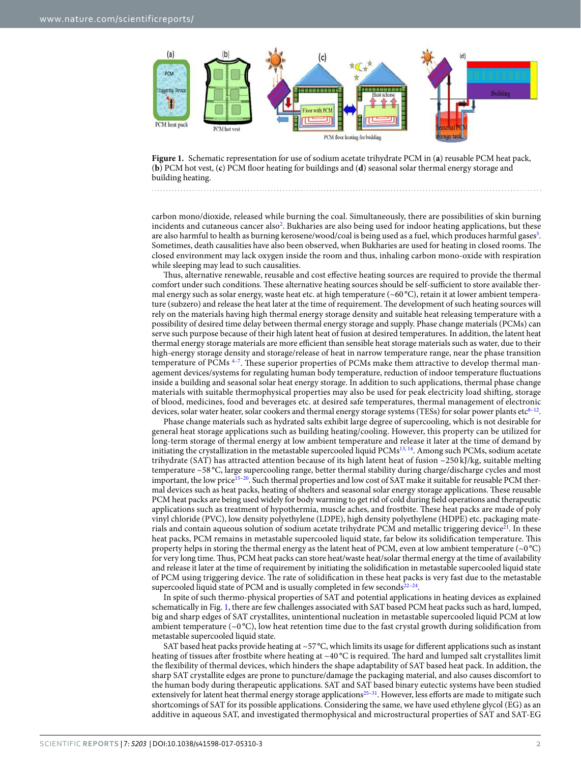

**Figure 1.** Schematic representation for use of sodium acetate trihydrate PCM in (**a**) reusable PCM heat pack, (**b**) PCM hot vest, (**c**) PCM floor heating for buildings and (**d**) seasonal solar thermal energy storage and building heating.

carbon mono/dioxide, released while burning the coal. Simultaneously, there are possibilities of skin burning incidents and cutaneous cancer also<sup>2</sup>. Bukharies are also being used for indoor heating applications, but these are also harmful to health as burning kerosene/wood/coal is being used as a fuel, which produces harmful gases<sup>3</sup>. Sometimes, death causalities have also been observed, when Bukharies are used for heating in closed rooms. The closed environment may lack oxygen inside the room and thus, inhaling carbon mono-oxide with respiration while sleeping may lead to such causalities.

Thus, alternative renewable, reusable and cost effective heating sources are required to provide the thermal comfort under such conditions. These alternative heating sources should be self-sufficient to store available thermal energy such as solar energy, waste heat etc. at high temperature ( $~60^{\circ}$ C), retain it at lower ambient temperature (subzero) and release the heat later at the time of requirement. The development of such heating sources will rely on the materials having high thermal energy storage density and suitable heat releasing temperature with a possibility of desired time delay between thermal energy storage and supply. Phase change materials (PCMs) can serve such purpose because of their high latent heat of fusion at desired temperatures. In addition, the latent heat thermal energy storage materials are more efficient than sensible heat storage materials such as water, due to their high-energy storage density and storage/release of heat in narrow temperature range, near the phase transition temperature of PCMs<sup>4-7</sup>. These superior properties of PCMs make them attractive to develop thermal management devices/systems for regulating human body temperature, reduction of indoor temperature fluctuations inside a building and seasonal solar heat energy storage. In addition to such applications, thermal phase change materials with suitable thermophysical properties may also be used for peak electricity load shifting, storage of blood, medicines, food and beverages etc. at desired safe temperatures, thermal management of electronic devices, solar water heater, solar cookers and thermal energy storage systems (TESs) for solar power plants etc $^{8-12}$ .

Phase change materials such as hydrated salts exhibit large degree of supercooling, which is not desirable for general heat storage applications such as building heating/cooling. However, this property can be utilized for long-term storage of thermal energy at low ambient temperature and release it later at the time of demand by initiating the crystallization in the metastable supercooled liquid PCMs<sup>13, 14</sup>. Among such PCMs, sodium acetate trihydrate (SAT) has attracted attention because of its high latent heat of fusion  $\sim$ 250 kJ/kg, suitable melting temperature ~58 °C, large supercooling range, better thermal stability during charge/discharge cycles and most important, the low price<sup>15-20</sup>. Such thermal properties and low cost of SAT make it suitable for reusable PCM thermal devices such as heat packs, heating of shelters and seasonal solar energy storage applications. These reusable PCM heat packs are being used widely for body warming to get rid of cold during field operations and therapeutic applications such as treatment of hypothermia, muscle aches, and frostbite. These heat packs are made of poly vinyl chloride (PVC), low density polyethylene (LDPE), high density polyethylene (HDPE) etc. packaging materials and contain aqueous solution of sodium acetate trihydrate PCM and metallic triggering device<sup>21</sup>. In these heat packs, PCM remains in metastable supercooled liquid state, far below its solidification temperature. This property helps in storing the thermal energy as the latent heat of PCM, even at low ambient temperature (~0 °C) for very long time. Thus, PCM heat packs can store heat/waste heat/solar thermal energy at the time of availability and release it later at the time of requirement by initiating the solidification in metastable supercooled liquid state of PCM using triggering device. The rate of solidification in these heat packs is very fast due to the metastable supercooled liquid state of PCM and is usually completed in few seconds $22-24$ .

In spite of such thermo-physical properties of SAT and potential applications in heating devices as explained schematically in Fig. 1, there are few challenges associated with SAT based PCM heat packs such as hard, lumped, big and sharp edges of SAT crystallites, unintentional nucleation in metastable supercooled liquid PCM at low ambient temperature  $({\sim}0^{\circ}C)$ , low heat retention time due to the fast crystal growth during solidification from metastable supercooled liquid state.

SAT based heat packs provide heating at ~57 °C, which limits its usage for different applications such as instant heating of tissues after frostbite where heating at  $\sim 40^{\circ}$ C is required. The hard and lumped salt crystallites limit the flexibility of thermal devices, which hinders the shape adaptability of SAT based heat pack. In addition, the sharp SAT crystallite edges are prone to puncture/damage the packaging material, and also causes discomfort to the human body during therapeutic applications. SAT and SAT based binary eutectic systems have been studied extensively for latent heat thermal energy storage applications<sup>25–31</sup>. However, less efforts are made to mitigate such shortcomings of SAT for its possible applications. Considering the same, we have used ethylene glycol (EG) as an additive in aqueous SAT, and investigated thermophysical and microstructural properties of SAT and SAT-EG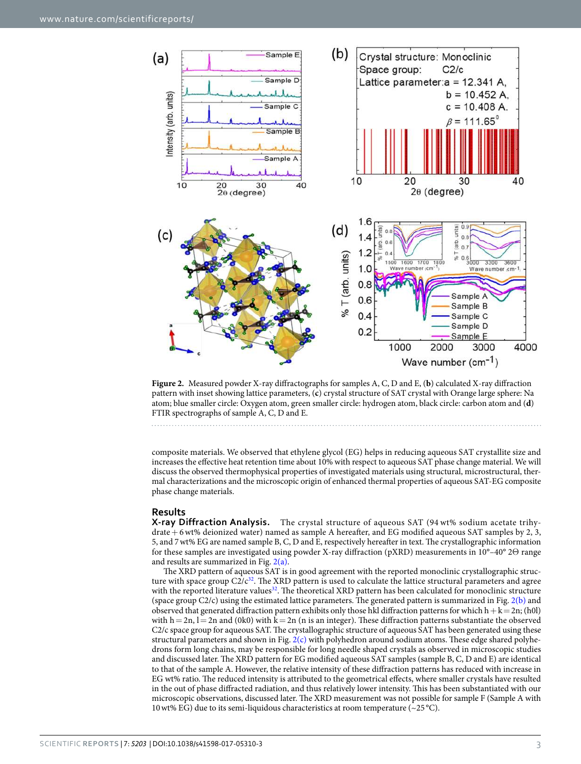

**Figure 2.** Measured powder X-ray diffractographs for samples A, C, D and E, (**b**) calculated X-ray diffraction pattern with inset showing lattice parameters, (**c**) crystal structure of SAT crystal with Orange large sphere: Na atom; blue smaller circle: Oxygen atom, green smaller circle: hydrogen atom, black circle: carbon atom and (**d**) FTIR spectrographs of sample A, C, D and E.

composite materials. We observed that ethylene glycol (EG) helps in reducing aqueous SAT crystallite size and increases the effective heat retention time about 10% with respect to aqueous SAT phase change material. We will discuss the observed thermophysical properties of investigated materials using structural, microstructural, thermal characterizations and the microscopic origin of enhanced thermal properties of aqueous SAT-EG composite phase change materials.

### **Results**

**X-ray Diffraction Analysis.** The crystal structure of aqueous SAT (94 wt% sodium acetate trihydrate + 6 wt% deionized water) named as sample A hereafter, and EG modified aqueous SAT samples by 2, 3, 5, and 7 wt% EG are named sample B, C, D and E, respectively hereafter in text. The crystallographic information for these samples are investigated using powder X-ray diffraction (pXRD) measurements in 10°–40° 2Θ range and results are summarized in Fig.  $2(a)$ .

The XRD pattern of aqueous SAT is in good agreement with the reported monoclinic crystallographic structure with space group  $C2/c^{32}$ . The XRD pattern is used to calculate the lattice structural parameters and agree with the reported literature values<sup>32</sup>. The theoretical XRD pattern has been calculated for monoclinic structure (space group  $C2/c$ ) using the estimated lattice parameters. The generated pattern is summarized in Fig.  $2(b)$  and observed that generated diffraction pattern exhibits only those hkl diffraction patterns for which  $h + k = 2n$ ; (h0l) with  $h = 2n$ ,  $l = 2n$  and (0k0) with  $k = 2n$  (n is an integer). These diffraction patterns substantiate the observed C2/c space group for aqueous SAT. The crystallographic structure of aqueous SAT has been generated using these structural parameters and shown in Fig.  $2(c)$  with polyhedron around sodium atoms. These edge shared polyhedrons form long chains, may be responsible for long needle shaped crystals as observed in microscopic studies and discussed later. The XRD pattern for EG modified aqueous SAT samples (sample B, C, D and E) are identical to that of the sample A. However, the relative intensity of these diffraction patterns has reduced with increase in EG wt% ratio. The reduced intensity is attributed to the geometrical effects, where smaller crystals have resulted in the out of phase diffracted radiation, and thus relatively lower intensity. This has been substantiated with our microscopic observations, discussed later. The XRD measurement was not possible for sample F (Sample A with 10 wt% EG) due to its semi-liquidous characteristics at room temperature ( $\sim$ 25 °C).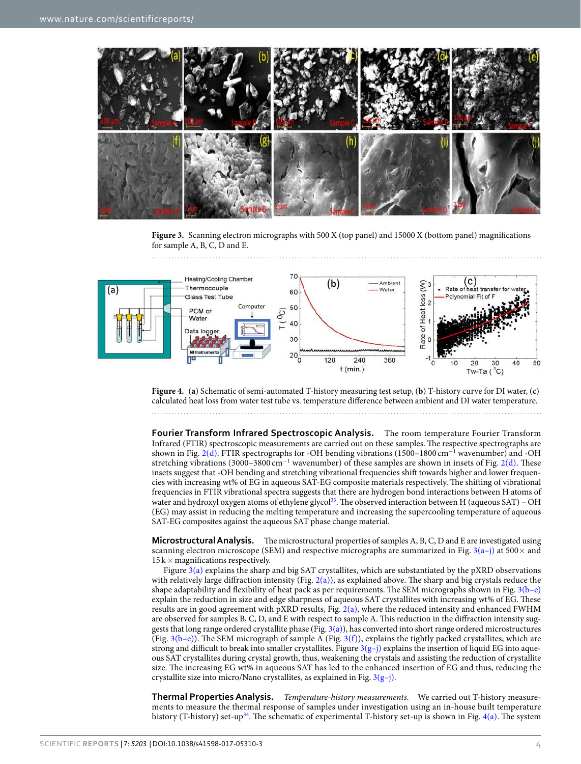

**Figure 3.** Scanning electron micrographs with 500 X (top panel) and 15000 X (bottom panel) magnifications for sample A, B, C, D and E.



**Figure 4.** (**a**) Schematic of semi-automated T-history measuring test setup, (**b**) T-history curve for DI water, (**c**) calculated heat loss from water test tube vs. temperature difference between ambient and DI water temperature.

**Fourier Transform Infrared Spectroscopic Analysis.** The room temperature Fourier Transform Infrared (FTIR) spectroscopic measurements are carried out on these samples. The respective spectrographs are shown in Fig. 2(d). FTIR spectrographs for -OH bending vibrations (1500–1800 cm<sup>-1</sup> wavenumber) and -OH stretching vibrations (3000–3800 cm<sup>−1</sup> wavenumber) of these samples are shown in insets of Fig. 2(d). These insets suggest that -OH bending and stretching vibrational frequencies shift towards higher and lower frequencies with increasing wt% of EG in aqueous SAT-EG composite materials respectively. The shifting of vibrational frequencies in FTIR vibrational spectra suggests that there are hydrogen bond interactions between H atoms of water and hydroxyl oxygen atoms of ethylene glycol<sup>33</sup>. The observed interaction between H (aqueous SAT) – OH (EG) may assist in reducing the melting temperature and increasing the supercooling temperature of aqueous SAT-EG composites against the aqueous SAT phase change material.

**Microstructural Analysis.** The microstructural properties of samples A, B, C, D and E are investigated using scanning electron microscope (SEM) and respective micrographs are summarized in Fig.  $3(a-j)$  at 500 $\times$  and  $15k \times$  magnifications respectively.

Figure  $3(a)$  explains the sharp and big SAT crystallites, which are substantiated by the pXRD observations with relatively large diffraction intensity (Fig.  $2(a)$ ), as explained above. The sharp and big crystals reduce the shape adaptability and flexibility of heat pack as per requirements. The SEM micrographs shown in Fig. 3(b–e) explain the reduction in size and edge sharpness of aqueous SAT crystallites with increasing wt% of EG. These results are in good agreement with pXRD results, Fig. 2(a), where the reduced intensity and enhanced FWHM are observed for samples B, C, D, and E with respect to sample A. This reduction in the diffraction intensity suggests that long range ordered crystallite phase (Fig. 3(a)), has converted into short range ordered microstructures (Fig.  $3(b-e)$ ). The SEM micrograph of sample A (Fig.  $3(f)$ ), explains the tightly packed crystallites, which are strong and difficult to break into smaller crystallites. Figure  $3(g-j)$  explains the insertion of liquid EG into aqueous SAT crystallites during crystal growth, thus, weakening the crystals and assisting the reduction of crystallite size. The increasing EG wt% in aqueous SAT has led to the enhanced insertion of EG and thus, reducing the crystallite size into micro/Nano crystallites, as explained in Fig.  $3(g-j)$ .

**Thermal Properties Analysis.** *Temperature-history measurements.* We carried out T-history measurements to measure the thermal response of samples under investigation using an in-house built temperature history (T-history) set-up<sup>34</sup>. The schematic of experimental T-history set-up is shown in Fig.  $4(a)$ . The system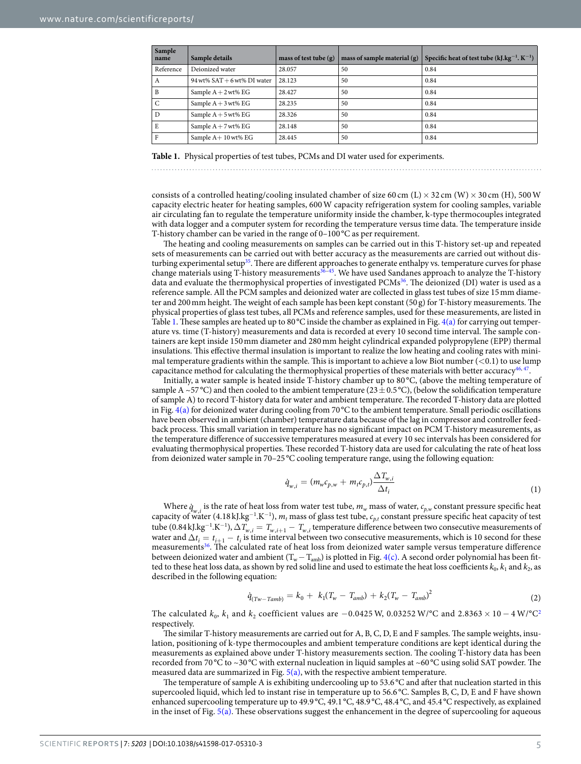| Sample<br>name | Sample details                | mass of test tube $(g)$ | mass of sample material $(g)$ | Specific heat of test tube $(kJ.kg^{-1}K^{-1})$ |
|----------------|-------------------------------|-------------------------|-------------------------------|-------------------------------------------------|
| Reference      | Deionized water               | 28.057                  | 50                            | 0.84                                            |
| $\mathbf{A}$   | 94 wt% $SAT + 6$ wt% DI water | 28.123                  | 50                            | 0.84                                            |
| B              | Sample $A + 2$ wt% EG         | 28.427                  | 50                            | 0.84                                            |
| $\mathsf{C}$   | Sample $A + 3$ wt% EG         | 28.235                  | 50                            | 0.84                                            |
| D              | Sample $A + 5$ wt% EG         | 28.326                  | 50                            | 0.84                                            |
| E              | Sample $A + 7$ wt% EG         | 28.148                  | 50                            | 0.84                                            |
| F              | Sample $A+10$ wt% EG          | 28.445                  | 50                            | 0.84                                            |

**Table 1.** Physical properties of test tubes, PCMs and DI water used for experiments.

consists of a controlled heating/cooling insulated chamber of size 60 cm (L)  $\times$  32 cm (W)  $\times$  30 cm (H), 500 W capacity electric heater for heating samples, 600 W capacity refrigeration system for cooling samples, variable air circulating fan to regulate the temperature uniformity inside the chamber, k-type thermocouples integrated with data logger and a computer system for recording the temperature versus time data. The temperature inside T-history chamber can be varied in the range of 0–100 °C as per requirement.

The heating and cooling measurements on samples can be carried out in this T-history set-up and repeated sets of measurements can be carried out with better accuracy as the measurements are carried out without disturbing experimental setup<sup>35</sup>. There are different approaches to generate enthalpy vs. temperature curves for phase change materials using T-history measurements36–45. We have used Sandanes approach to analyze the T-history data and evaluate the thermophysical properties of investigated PCMs<sup>36</sup>. The deionized (DI) water is used as a reference sample. All the PCM samples and deionized water are collected in glass test tubes of size 15 mm diameter and 200 mm height. The weight of each sample has been kept constant (50 g) for T-history measurements. The physical properties of glass test tubes, all PCMs and reference samples, used for these measurements, are listed in Table 1. These samples are heated up to 80 °C inside the chamber as explained in Fig.  $4(a)$  for carrying out temperature vs. time (T-history) measurements and data is recorded at every 10 second time interval. The sample containers are kept inside 150 mm diameter and 280 mm height cylindrical expanded polypropylene (EPP) thermal insulations. This effective thermal insulation is important to realize the low heating and cooling rates with minimal temperature gradients within the sample. This is important to achieve a low Biot number  $(<0.1$ ) to use lump capacitance method for calculating the thermophysical properties of these materials with better accuracy<sup>46, 47</sup>.

Initially, a water sample is heated inside T-history chamber up to 80 °C, (above the melting temperature of sample A ~57 °C) and then cooled to the ambient temperature (23  $\pm$  0.5 °C), (below the solidification temperature of sample A) to record T-history data for water and ambient temperature. The recorded T-history data are plotted in Fig.  $4(a)$  for deionized water during cooling from 70 °C to the ambient temperature. Small periodic oscillations have been observed in ambient (chamber) temperature data because of the lag in compressor and controller feedback process. This small variation in temperature has no significant impact on PCM T-history measurements, as the temperature difference of successive temperatures measured at every 10 sec intervals has been considered for evaluating thermophysical properties. These recorded T-history data are used for calculating the rate of heat loss from deionized water sample in 70–25 °C cooling temperature range, using the following equation:

$$
\dot{q}_{w,i} = (m_w c_{p,w} + m_t c_{p,t}) \frac{\Delta T_{w,i}}{\Delta t_i} \tag{1}
$$

Where  $\dot{q}_{w,i}$  is the rate of heat loss from water test tube,  $m_w$  mass of water,  $c_{p,w}$  constant pressure specific heat capacity of water (4.18 kJ.kg<sup>-1</sup>.K<sup>-1</sup>),  $m_t$  mass of glass test tube,  $c_{p,t}$  constant pressure specific heat capacity of test tube (0.84 kJ.kg<sup>-1</sup>.K<sup>-1</sup>),  $\Delta T_{w,i} = T_{w,i+1} - T_{w,i}$  temperature difference between two consecutive measurements of water and  $\Delta t_i = t_{i+1} - t_i$  is time interval between two consecutive measurements, which is 10 second for these measurements<sup>36</sup>. The calculated rate of heat loss from deionized water sample versus temperature difference between deionized water and ambient  $(T_w - T_{amb})$  is plotted in Fig. 4(c). A second order polynomial has been fitted to these heat loss data, as shown by red solid line and used to estimate the heat loss coefficients  $k_0$ ,  $k_1$  and  $k_2$ , as described in the following equation:

$$
\dot{q}_{(Tw-Tamb)} = k_0 + k_1 (T_w - T_{amb}) + k_2 (T_w - T_{amb})^2 \tag{2}
$$

The calculated  $k_0$ ,  $k_1$  and  $k_2$  coefficient values are  $-0.0425$  W, 0.03252 W/°C and 2.8363  $\times$  10  $-$  4 W/°C<sup>2</sup> respectively.

The similar T-history measurements are carried out for A, B, C, D, E and F samples. The sample weights, insulation, positioning of k-type thermocouples and ambient temperature conditions are kept identical during the measurements as explained above under T-history measurements section. The cooling T-history data has been recorded from 70 °C to ~30 °C with external nucleation in liquid samples at ~60 °C using solid SAT powder. The measured data are summarized in Fig.  $5(a)$ , with the respective ambient temperature.

The temperature of sample A is exhibiting undercooling up to 53.6 °C and after that nucleation started in this supercooled liquid, which led to instant rise in temperature up to 56.6 °C. Samples B, C, D, E and F have shown enhanced supercooling temperature up to 49.9 °C, 49.1 °C, 48.9 °C, 48.4 °C, and 45.4 °C respectively, as explained in the inset of Fig. 5(a). These observations suggest the enhancement in the degree of supercooling for aqueous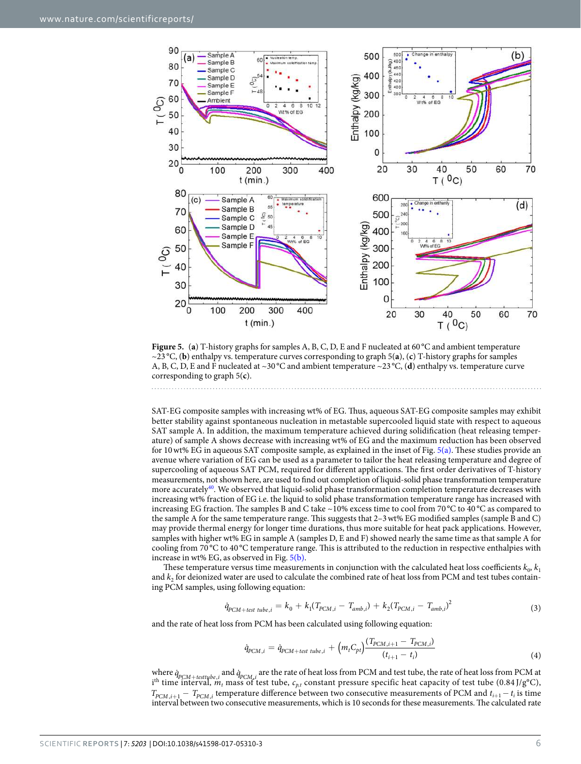

**Figure 5.** (**a**) T-history graphs for samples A, B, C, D, E and F nucleated at 60 °C and ambient temperature ~23 °C, (**b**) enthalpy vs. temperature curves corresponding to graph 5(**a**), (**c**) T-history graphs for samples A, B, C, D, E and F nucleated at ~30 °C and ambient temperature ~23 °C, (**d**) enthalpy vs. temperature curve corresponding to graph 5(**c**).

SAT-EG composite samples with increasing wt% of EG. Thus, aqueous SAT-EG composite samples may exhibit better stability against spontaneous nucleation in metastable supercooled liquid state with respect to aqueous SAT sample A. In addition, the maximum temperature achieved during solidification (heat releasing temperature) of sample A shows decrease with increasing wt% of EG and the maximum reduction has been observed for 10 wt% EG in aqueous SAT composite sample, as explained in the inset of Fig. 5(a). These studies provide an avenue where variation of EG can be used as a parameter to tailor the heat releasing temperature and degree of supercooling of aqueous SAT PCM, required for different applications. The first order derivatives of T-history measurements, not shown here, are used to find out completion of liquid-solid phase transformation temperature more accurately<sup>40</sup>. We observed that liquid-solid phase transformation completion temperature decreases with increasing wt% fraction of EG i.e. the liquid to solid phase transformation temperature range has increased with increasing EG fraction. The samples B and C take ~10% excess time to cool from 70 °C to 40 °C as compared to the sample A for the same temperature range. This suggests that 2–3 wt% EG modified samples (sample B and C) may provide thermal energy for longer time durations, thus more suitable for heat pack applications. However, samples with higher wt% EG in sample A (samples D, E and F) showed nearly the same time as that sample A for cooling from 70 °C to 40 °C temperature range. This is attributed to the reduction in respective enthalpies with increase in wt% EG, as observed in Fig. 5(b).

These temperature versus time measurements in conjunction with the calculated heat loss coefficients  $k_0, k_1$ and  $k_2$  for deionized water are used to calculate the combined rate of heat loss from PCM and test tubes containing PCM samples, using following equation:

$$
\dot{q}_{PCM-test\ tube,i} = k_0 + k_1 (T_{PCM,i} - T_{amb,i}) + k_2 (T_{PCM,i} - T_{amb,i})^2
$$
\n(3)

and the rate of heat loss from PCM has been calculated using following equation:

$$
\dot{q}_{PCM,i} = \dot{q}_{PCM + test\ tube,i} + \left(m_t C_{pt}\right) \frac{(T_{PCM,i+1} - T_{PCM,i})}{(t_{i+1} - t_i)}
$$
\n(4)

where  $\dot{q}_{PCM + test type, i}$  and  $\dot{q}_{PCM,i}$  are the rate of heat loss from PCM and test tube, the rate of heat loss from PCM at i<sup>th</sup> time interval,  $m_t$  mass of test tube,  $c_{p,t}$  constant pressure specific heat capacity of test tube (0.84 J/g°C),  $T_{PCM,i+1} - T_{PCM,i}$  temperature difference between two consecutive measurements of PCM and  $t_{i+1} - t_i$  is time interval between two consecutive measurements, which is 10 seconds for these measurements. The calculated rate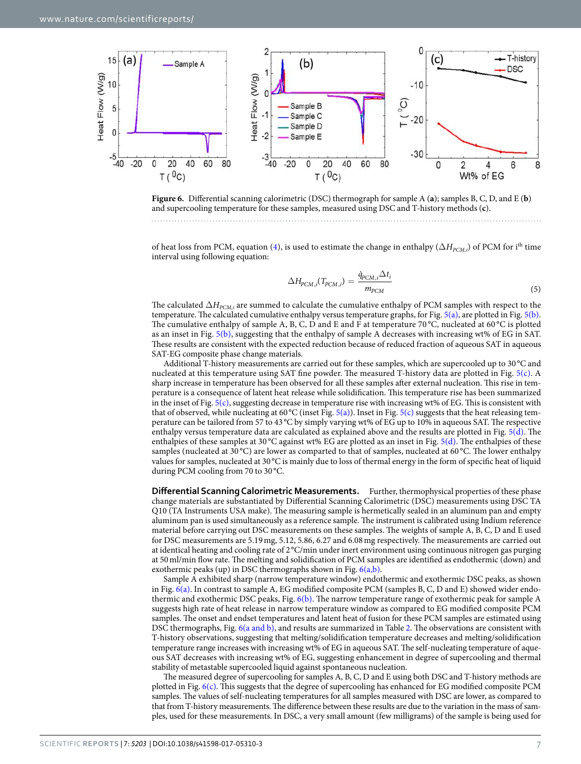



of heat loss from PCM, equation (4), is used to estimate the change in enthalpy ( $\Delta H_{PCM,i}$ ) of PCM for i<sup>th</sup> time interval using following equation:

$$
\Delta H_{PCM,i}(T_{PCM,i}) = \frac{\dot{q}_{PCM,i}\Delta t_i}{m_{PCM}}
$$
\n(5)

The calculated  $\Delta H_{PCM,i}$  are summed to calculate the cumulative enthalpy of PCM samples with respect to the temperature. The calculated cumulative enthalpy versus temperature graphs, for Fig.  $5(a)$ , are plotted in Fig.  $5(b)$ . The cumulative enthalpy of sample A, B, C, D and E and F at temperature 70 $\rm{^{\circ}C}$ , nucleated at 60 $\rm{^{\circ}C}$  is plotted as an inset in Fig. 5(b), suggesting that the enthalpy of sample A decreases with increasing wt% of EG in SAT. These results are consistent with the expected reduction because of reduced fraction of aqueous SAT in aqueous SAT-EG composite phase change materials.

Additional T-history measurements are carried out for these samples, which are supercooled up to 30 °C and nucleated at this temperature using SAT fine powder. The measured T-history data are plotted in Fig. 5(c). A sharp increase in temperature has been observed for all these samples after external nucleation. This rise in temperature is a consequence of latent heat release while solidification. This temperature rise has been summarized in the inset of Fig.  $5(c)$ , suggesting decrease in temperature rise with increasing wt% of EG. This is consistent with that of observed, while nucleating at 60 °C (inset Fig. 5(a)). Inset in Fig. 5(c) suggests that the heat releasing temperature can be tailored from 57 to 43 °C by simply varying wt% of EG up to 10% in aqueous SAT. The respective enthalpy versus temperature data are calculated as explained above and the results are plotted in Fig. 5(d). The enthalpies of these samples at 30 °C against wt% EG are plotted as an inset in Fig.  $5(d)$ . The enthalpies of these samples (nucleated at 30 °C) are lower as comparted to that of samples, nucleated at 60 °C. The lower enthalpy values for samples, nucleated at 30 °C is mainly due to loss of thermal energy in the form of specific heat of liquid during PCM cooling from 70 to 30 °C.

**Differential Scanning Calorimetric Measurements.** Further, thermophysical properties of these phase change materials are substantiated by Differential Scanning Calorimetric (DSC) measurements using DSC TA Q10 (TA Instruments USA make). The measuring sample is hermetically sealed in an aluminum pan and empty aluminum pan is used simultaneously as a reference sample. The instrument is calibrated using Indium reference material before carrying out DSC measurements on these samples. The weights of sample A, B, C, D and E used for DSC measurements are 5.19 mg, 5.12, 5.86, 6.27 and 6.08 mg respectively. The measurements are carried out at identical heating and cooling rate of 2 °C/min under inert environment using continuous nitrogen gas purging at 50 ml/min flow rate. The melting and solidification of PCM samples are identified as endothermic (down) and exothermic peaks (up) in DSC thermographs shown in Fig.  $6(a,b)$ .

Sample A exhibited sharp (narrow temperature window) endothermic and exothermic DSC peaks, as shown in Fig. 6(a). In contrast to sample A, EG modified composite PCM (samples B, C, D and E) showed wider endothermic and exothermic DSC peaks, Fig. 6(b). The narrow temperature range of exothermic peak for sample A suggests high rate of heat release in narrow temperature window as compared to EG modified composite PCM samples. The onset and endset temperatures and latent heat of fusion for these PCM samples are estimated using DSC thermographs, Fig. 6(a and b), and results are summarized in Table 2. The observations are consistent with T-history observations, suggesting that melting/solidification temperature decreases and melting/solidification temperature range increases with increasing wt% of EG in aqueous SAT. The self-nucleating temperature of aqueous SAT decreases with increasing wt% of EG, suggesting enhancement in degree of supercooling and thermal stability of metastable supercooled liquid against spontaneous nucleation.

The measured degree of supercooling for samples A, B, C, D and E using both DSC and T-history methods are plotted in Fig. 6(c). This suggests that the degree of supercooling has enhanced for EG modified composite PCM samples. The values of self-nucleating temperatures for all samples measured with DSC are lower, as compared to that from T-history measurements. The difference between these results are due to the variation in the mass of samples, used for these measurements. In DSC, a very small amount (few milligrams) of the sample is being used for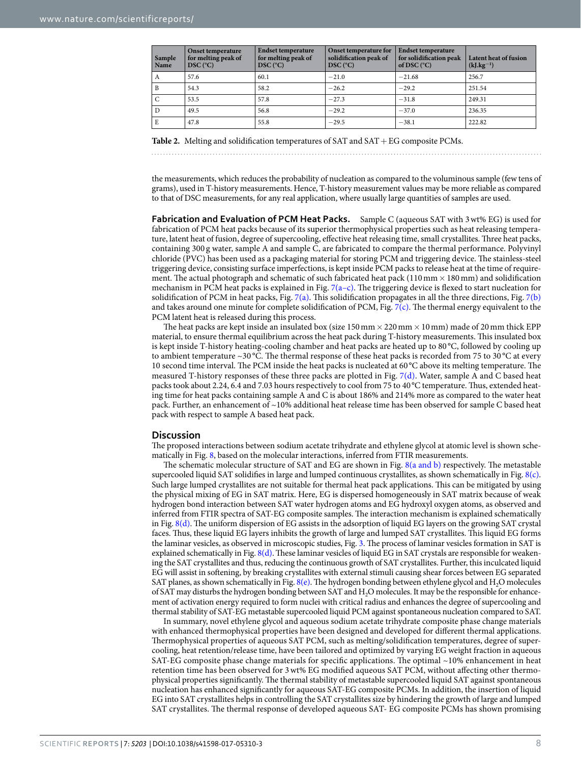| Sample<br>Name | <b>Onset temperature</b><br>for melting peak of<br>$DSC$ ( $^{\circ}C$ ) | <b>Endset temperature</b><br>for melting peak of<br>$DSC$ ( $^{\circ}C$ ) | Onset temperature for<br>solidification peak of<br>$DSC$ ( $^{\circ}C$ ) | <b>Endset temperature</b><br>for solidification peak<br>of DSC $(^{\circ}C)$ | Latent heat of fusion<br>$(kJ.kg^{-1})$ |
|----------------|--------------------------------------------------------------------------|---------------------------------------------------------------------------|--------------------------------------------------------------------------|------------------------------------------------------------------------------|-----------------------------------------|
| $\mathbf{A}$   | 57.6                                                                     | 60.1                                                                      | $-21.0$                                                                  | $-21.68$                                                                     | 256.7                                   |
| $\mathbf{B}$   | 54.3                                                                     | 58.2                                                                      | $-26.2$                                                                  | $-29.2$                                                                      | 251.54                                  |
| $\mathsf{C}$   | 53.5                                                                     | 57.8                                                                      | $-27.3$                                                                  | $-31.8$                                                                      | 249.31                                  |
| D              | 49.5                                                                     | 56.8                                                                      | $-29.2$                                                                  | $-37.0$                                                                      | 236.35                                  |
| E              | 47.8                                                                     | 55.8                                                                      | $-29.5$                                                                  | $-38.1$                                                                      | 222.82                                  |

**Table 2.** Melting and solidification temperatures of SAT and SAT + EG composite PCMs.

the measurements, which reduces the probability of nucleation as compared to the voluminous sample (few tens of grams), used in T-history measurements. Hence, T-history measurement values may be more reliable as compared to that of DSC measurements, for any real application, where usually large quantities of samples are used.

Fabrication and Evaluation of PCM Heat Packs. Sample C (aqueous SAT with 3 wt% EG) is used for fabrication of PCM heat packs because of its superior thermophysical properties such as heat releasing temperature, latent heat of fusion, degree of supercooling, effective heat releasing time, small crystallites. Three heat packs, containing 300 g water, sample A and sample C, are fabricated to compare the thermal performance. Polyvinyl chloride (PVC) has been used as a packaging material for storing PCM and triggering device. The stainless-steel triggering device, consisting surface imperfections, is kept inside PCM packs to release heat at the time of requirement. The actual photograph and schematic of such fabricated heat pack (110 mm  $\times$  180 mm) and solidification mechanism in PCM heat packs is explained in Fig. 7(a–c). The triggering device is flexed to start nucleation for solidification of PCM in heat packs, Fig. 7(a). This solidification propagates in all the three directions, Fig. 7(b) and takes around one minute for complete solidification of PCM, Fig.  $7(c)$ . The thermal energy equivalent to the PCM latent heat is released during this process.

The heat packs are kept inside an insulated box (size  $150\,\mathrm{mm} \times 220\,\mathrm{mm} \times 10\,\mathrm{mm}$ ) made of 20 mm thick EPP material, to ensure thermal equilibrium across the heat pack during T-history measurements. This insulated box is kept inside T-history heating-cooling chamber and heat packs are heated up to 80 °C, followed by cooling up to ambient temperature ~30 °C. The thermal response of these heat packs is recorded from 75 to 30 °C at every 10 second time interval. The PCM inside the heat packs is nucleated at 60 °C above its melting temperature. The measured T-history responses of these three packs are plotted in Fig. 7(d). Water, sample A and C based heat packs took about 2.24, 6.4 and 7.03 hours respectively to cool from 75 to 40 °C temperature. Thus, extended heating time for heat packs containing sample A and C is about 186% and 214% more as compared to the water heat pack. Further, an enhancement of ~10% additional heat release time has been observed for sample C based heat pack with respect to sample A based heat pack.

#### **Discussion**

The proposed interactions between sodium acetate trihydrate and ethylene glycol at atomic level is shown schematically in Fig. 8, based on the molecular interactions, inferred from FTIR measurements.

The schematic molecular structure of SAT and EG are shown in Fig. 8(a and b) respectively. The metastable supercooled liquid SAT solidifies in large and lumped continuous crystallites, as shown schematically in Fig. 8(c). Such large lumped crystallites are not suitable for thermal heat pack applications. This can be mitigated by using the physical mixing of EG in SAT matrix. Here, EG is dispersed homogeneously in SAT matrix because of weak hydrogen bond interaction between SAT water hydrogen atoms and EG hydroxyl oxygen atoms, as observed and inferred from FTIR spectra of SAT-EG composite samples. The interaction mechanism is explained schematically in Fig. 8(d). The uniform dispersion of EG assists in the adsorption of liquid EG layers on the growing SAT crystal faces. Thus, these liquid EG layers inhibits the growth of large and lumped SAT crystallites. This liquid EG forms the laminar vesicles, as observed in microscopic studies, Fig. 3. The process of laminar vesicles formation in SAT is explained schematically in Fig. 8(d). These laminar vesicles of liquid EG in SAT crystals are responsible for weakening the SAT crystallites and thus, reducing the continuous growth of SAT crystallites. Further, this inculcated liquid EG will assist in softening, by breaking crystallites with external stimuli causing shear forces between EG separated SAT planes, as shown schematically in Fig.  $8(e)$ . The hydrogen bonding between ethylene glycol and  $H_2O$  molecules of SAT may disturbs the hydrogen bonding between SAT and H2O molecules. It may be the responsible for enhancement of activation energy required to form nuclei with critical radius and enhances the degree of supercooling and thermal stability of SAT-EG metastable supercooled liquid PCM against spontaneous nucleation compared to SAT.

In summary, novel ethylene glycol and aqueous sodium acetate trihydrate composite phase change materials with enhanced thermophysical properties have been designed and developed for different thermal applications. Thermophysical properties of aqueous SAT PCM, such as melting/solidification temperatures, degree of supercooling, heat retention/release time, have been tailored and optimized by varying EG weight fraction in aqueous SAT-EG composite phase change materials for specific applications. The optimal ~10% enhancement in heat retention time has been observed for 3 wt% EG modified aqueous SAT PCM, without affecting other thermophysical properties significantly. The thermal stability of metastable supercooled liquid SAT against spontaneous nucleation has enhanced significantly for aqueous SAT-EG composite PCMs. In addition, the insertion of liquid EG into SAT crystallites helps in controlling the SAT crystallites size by hindering the growth of large and lumped SAT crystallites. The thermal response of developed aqueous SAT- EG composite PCMs has shown promising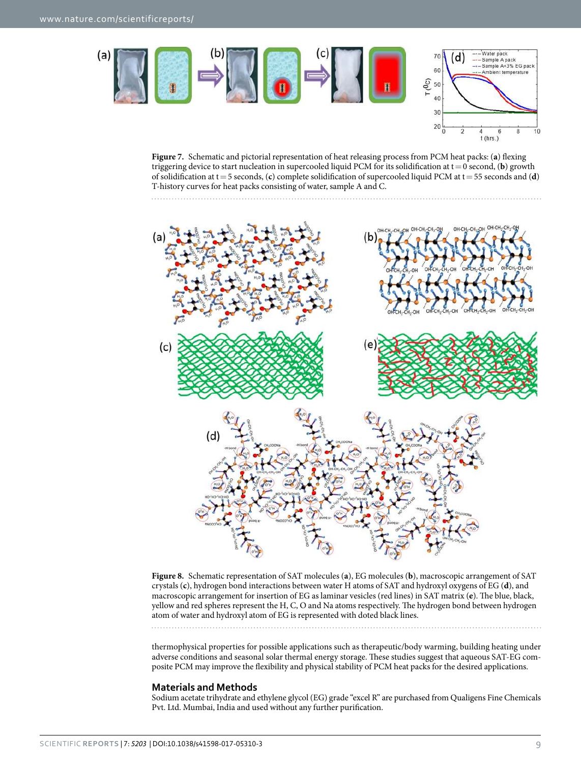

**Figure 7.** Schematic and pictorial representation of heat releasing process from PCM heat packs: (**a**) flexing triggering device to start nucleation in supercooled liquid PCM for its solidification at  $t = 0$  second, (b) growth of solidification at t = 5 seconds, (**c**) complete solidification of supercooled liquid PCM at t = 55 seconds and (**d**) T-history curves for heat packs consisting of water, sample A and C.

 $20$  $\mathbf{r}$ 

 $\mathbf{a}$  $10$ 

6  $t$  (hrs.)





thermophysical properties for possible applications such as therapeutic/body warming, building heating under adverse conditions and seasonal solar thermal energy storage. These studies suggest that aqueous SAT-EG composite PCM may improve the flexibility and physical stability of PCM heat packs for the desired applications.

### **Materials and Methods**

Sodium acetate trihydrate and ethylene glycol (EG) grade "excel R" are purchased from Qualigens Fine Chemicals Pvt. Ltd. Mumbai, India and used without any further purification.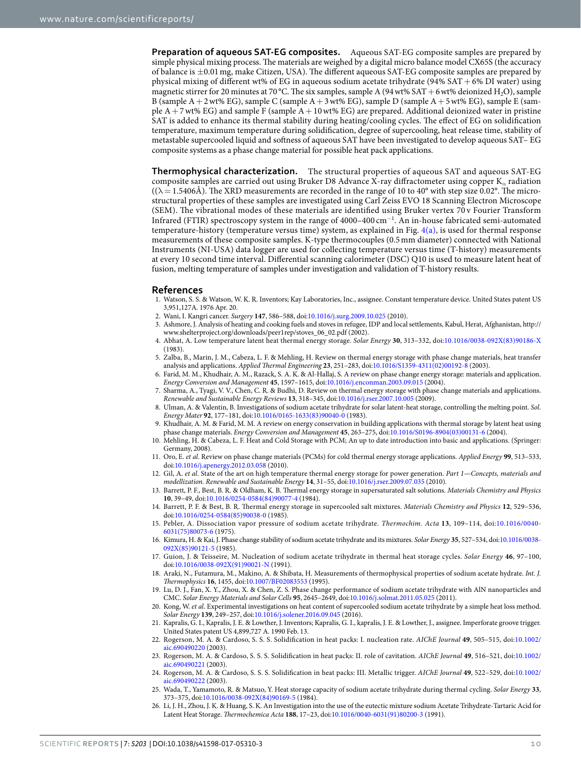**Preparation of aqueous SAT-EG composites.** Aqueous SAT-EG composite samples are prepared by simple physical mixing process. The materials are weighed by a digital micro balance model CX65S (the accuracy of balance is ±0.01 mg, make Citizen, USA). The different aqueous SAT-EG composite samples are prepared by physical mixing of different wt% of EG in aqueous sodium acetate trihydrate (94% SAT + 6% DI water) using magnetic stirrer for 20 minutes at 70 °C. The six samples, sample A (94 wt% SAT + 6 wt% deionized H<sub>2</sub>O), sample B (sample  $A + 2$  wt% EG), sample C (sample  $A + 3$  wt% EG), sample D (sample  $A + 5$  wt% EG), sample E (sample  $A + 7$  wt% EG) and sample F (sample  $A + 10$  wt% EG) are prepared. Additional deionized water in pristine SAT is added to enhance its thermal stability during heating/cooling cycles. The effect of EG on solidification temperature, maximum temperature during solidification, degree of supercooling, heat release time, stability of metastable supercooled liquid and softness of aqueous SAT have been investigated to develop aqueous SAT– EG composite systems as a phase change material for possible heat pack applications.

**Thermophysical characterization.** The structural properties of aqueous SAT and aqueous SAT-EG composite samples are carried out using Bruker D8 Advance X-ray diffractometer using copper K<sub>o</sub> radiation  $((\lambda = 1.5406\text{\AA})$ . The XRD measurements are recorded in the range of 10 to 40° with step size 0.02°. The microstructural properties of these samples are investigated using Carl Zeiss EVO 18 Scanning Electron Microscope (SEM). The vibrational modes of these materials are identified using Bruker vertex 70 v Fourier Transform Infrared (FTIR) spectroscopy system in the range of 4000–400 cm<sup>−</sup><sup>1</sup> . An in-house fabricated semi-automated temperature-history (temperature versus time) system, as explained in Fig. 4(a), is used for thermal response measurements of these composite samples. K-type thermocouples (0.5 mm diameter) connected with National Instruments (NI-USA) data logger are used for collecting temperature versus time (T-history) measurements at every 10 second time interval. Differential scanning calorimeter (DSC) Q10 is used to measure latent heat of fusion, melting temperature of samples under investigation and validation of T-history results.

#### **References**

- 1. Watson, S. S. & Watson, W. K. R. Inventors; Kay Laboratories, Inc., assignee. Constant temperature device. United States patent US 3,951,127A. 1976 Apr. 20.
	- 2. Wani, I. Kangri cancer. Surgery **147**, 586–588, doi:10.1016/j.surg.2009.10.025 (2010).
- 3. Ashmore, J. Analysis of heating and cooking fuels and stoves in refugee, IDP and local settlements, Kabul, Herat, Afghanistan, http:// www.shelterproject.org/downloads/peer1rep/stoves\_06\_02.pdf (2002).
- 4. Abhat, A. Low temperature latent heat thermal energy storage. Solar Energy **30**, 313–332, doi:10.1016/0038-092X(83)90186-X (1983).
- 5. Zalba, B., Marin, J. M., Cabeza, L. F. & Mehling, H. Review on thermal energy storage with phase change materials, heat transfer analysis and applications. Applied Thermal Engineering **23**, 251–283, doi:10.1016/S1359-4311(02)00192-8 (2003).
- 6. Farid, M. M., Khudhair, A. M., Razack, S. A. K. & Al-Hallaj, S. A review on phase change energy storage: materials and application. Energy Conversion and Management **45**, 1597–1615, doi:10.1016/j.enconman.2003.09.015 (2004).
- 7. Sharma, A., Tyagi, V. V., Chen, C. R. & Budhi, D. Review on thermal energy storage with phase change materials and applications. Renewable and Sustainable Energy Reviews **13**, 318–345, doi:10.1016/j.rser.2007.10.005 (2009).
- 8. Ulman, A. & Valentin, B. Investigations of sodium acetate trihydrate for solar latent-heat storage, controlling the melting point. Sol. Energy Mater **92**, 177–181, doi:10.1016/0165-1633(83)90040-0 (1983).
- 9. Khudhair, A. M. & Farid, M. M. A review on energy conservation in building applications with thermal storage by latent heat using phase change materials. Energy Conversion and Management **45**, 263–275, doi:10.1016/S0196-8904(03)00131-6 (2004).
- 10. Mehling, H. & Cabeza, L. F. Heat and Cold Storage with PCM; An up to date introduction into basic and applications. (Springer: Germany, 2008).
- 11. Oro, E. et al. Review on phase change materials (PCMs) for cold thermal energy storage applications. Applied Energy **99**, 513–533, doi:10.1016/j.apenergy.2012.03.058 (2010).
- 12. Gil, A. et al. State of the art on high temperature thermal energy storage for power generation. Part 1—Concepts, materials and modellization. Renewable and Sustainable Energy **14**, 31–55, doi:10.1016/j.rser.2009.07.035 (2010).
- 13. Barrett, P. F., Best, B. R. & Oldham, K. B. Thermal energy storage in supersaturated salt solutions. Materials Chemistry and Physics **10**, 39–49, doi:10.1016/0254-0584(84)90077-4 (1984).
- 14. Barrett, P. F. & Best, B. R. Thermal energy storage in supercooled salt mixtures. Materials Chemistry and Physics **12**, 529–536, doi:10.1016/0254-0584(85)90038-0 (1985).
- 15. Pebler, A. Dissociation vapor pressure of sodium acetate trihydrate. Thermochim. Acta **13**, 109–114, doi:10.1016/0040- 6031(75)80073-6 (1975).
- 16. Kimura, H. & Kai, J. Phase change stability of sodium acetate trihydrate and its mixtures. Solar Energy **35**, 527–534, doi:10.1016/0038- 092X(85)90121-5 (1985).
- 17. Guion, J. & Teisseire, M. Nucleation of sodium acetate trihydrate in thermal heat storage cycles. Solar Energy **46**, 97–100, doi:10.1016/0038-092X(91)90021-N (1991).
- 18. Araki, N., Futamura, M., Makino, A. & Shibata, H. Measurements of thermophysical properties of sodium acetate hydrate. Int. J. Thermophysics **16**, 1455, doi:10.1007/BF02083553 (1995).
- 19. Lu, D. J., Fan, X. Y., Zhou, X. & Chen, Z. S. Phase change performance of sodium acetate trihydrate with AlN nanoparticles and CMC. Solar Energy Materials and Solar Cells **95**, 2645–2649, doi:10.1016/j.solmat.2011.05.025 (2011).
- 20. Kong, W. et al. Experimental investigations on heat content of supercooled sodium acetate trihydrate by a simple heat loss method. Solar Energy **139**, 249–257, doi:10.1016/j.solener.2016.09.045 (2016).
- 21. Kapralis, G. I., Kapralis, J. E. & Lowther, J. Inventors; Kapralis, G. I., kapralis, J. E. & Lowther, J., assignee. Imperforate groove trigger. United States patent US 4,899,727 A. 1990 Feb. 13.
- 22. Rogerson, M. A. & Cardoso, S. S. S. Solidification in heat packs: I. nucleation rate. AIChE Journal **49**, 505–515, doi:10.1002/ aic.690490220 (2003).
- 23. Rogerson, M. A. & Cardoso, S. S. S. Solidification in heat packs: II. role of cavitation. AIChE Journal **49**, 516–521, doi:10.1002/ aic.690490221 (2003).
- 24. Rogerson, M. A. & Cardoso, S. S. S. Solidification in heat packs: III. Metallic trigger. AIChE Journal **49**, 522–529, doi:10.1002/ aic.690490222 (2003).
- 25. Wada, T., Yamamoto, R. & Matsuo, Y. Heat storage capacity of sodium acetate trihydrate during thermal cycling. Solar Energy **33**, 373–375, doi:10.1016/0038-092X(84)90169-5 (1984).
- 26. Li, J. H., Zhou, J. K. & Huang, S. K. An Investigation into the use of the eutectic mixture sodium Acetate Trihydrate-Tartaric Acid for Latent Heat Storage. Thermochemica Acta **188**, 17–23, doi:10.1016/0040-6031(91)80200-3 (1991).